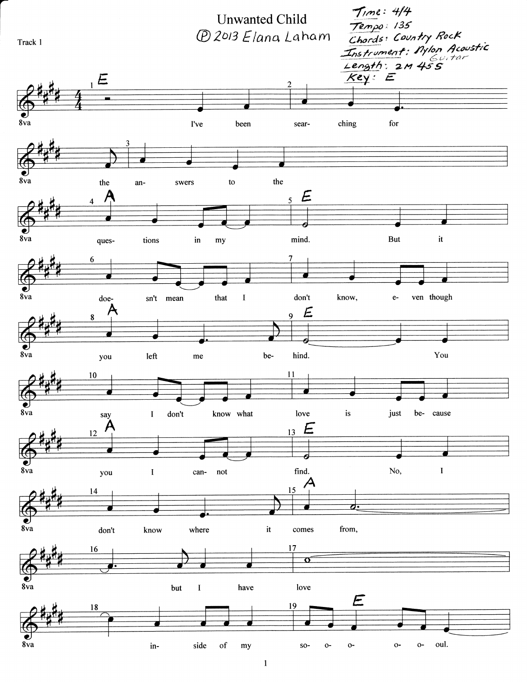

 $\mathbf{1}$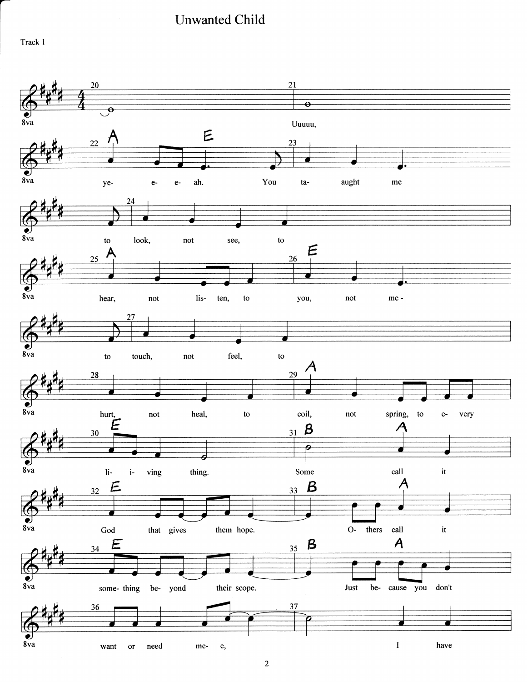## **Unwanted Child**

Track 1



 $\sqrt{2}$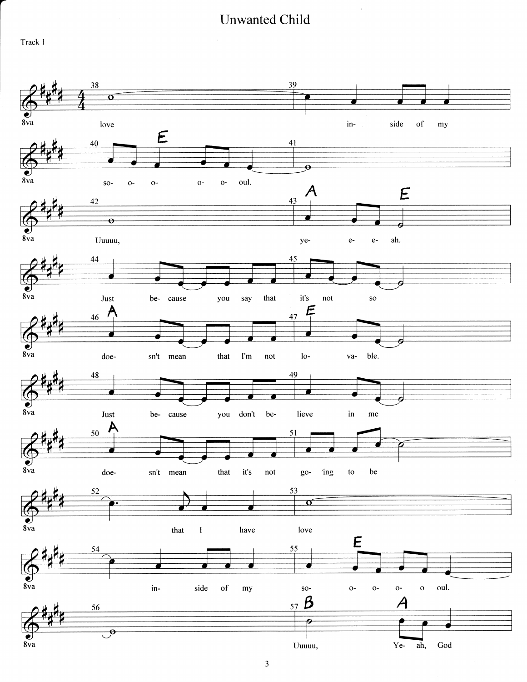## Unwanted Child

Track I

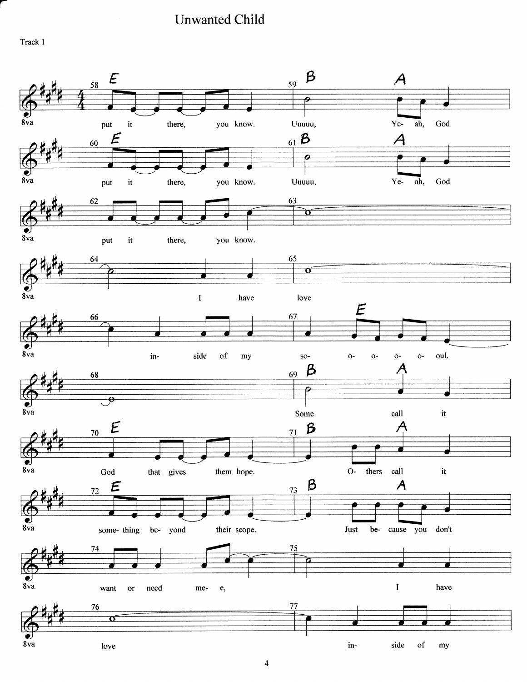IJnwanted Child

Track I

a